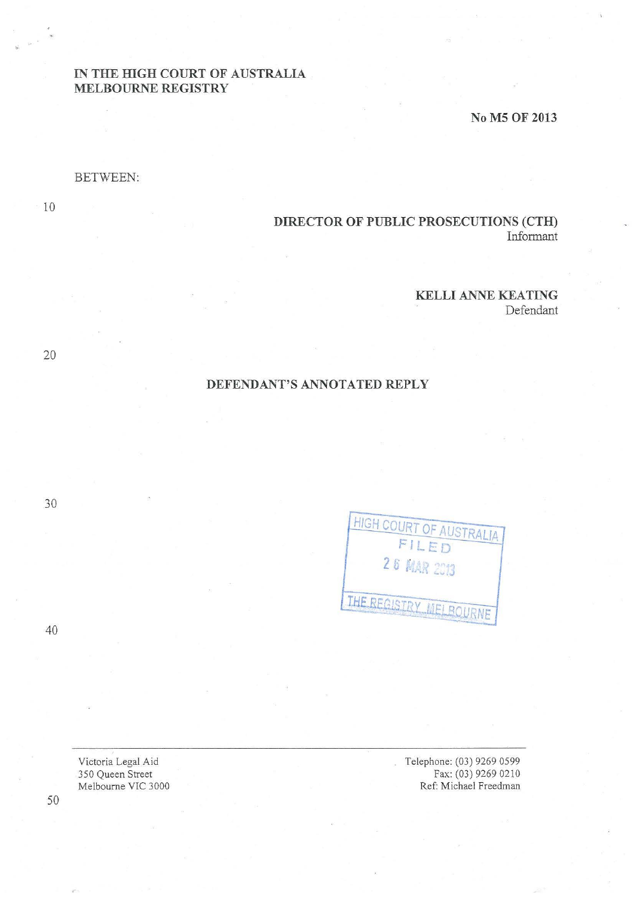# IN THE HIGH COURT OF AUSTRALIA MELBOURNE REGISTRY

No M5 OF 2013

#### BETWEEN:

10

# DIRECTOR OF PUBLIC PROSECUTIONS (CTH) Informant

#### KELLI ANNE KEATING

Defendant

## DEFENDANT'S ANNOTATED REPLY

| FILED<br><b>26 MAR 2013</b> |
|-----------------------------|
|                             |
|                             |

Telephone: (03) 9269 0599 Fax: (03) 9269 0210 Ref: Michael Freedman

30

40

20

Victoria Legal Aid 350 Queen Street

Melbourne VIC 3000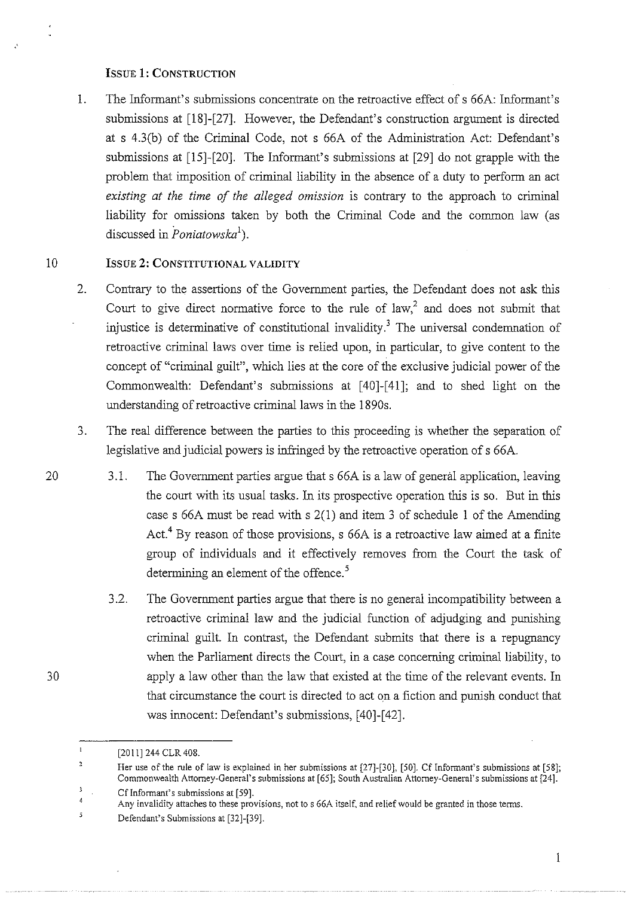### ISSUE 1: CONSTRUCTION

1. The Informant's submissions concentrate on the retroactive effect of s 66A: Informant's submissions at [18]-[27]. However, the Defendant's construction argument is directed at s 4.3(b) of the Criminal Code, not s 66A of the Administration Act: Defendant's submissions at (15]-(20]. The Informant's submissions at [29] do not grapple with the problem that imposition of criminal liability in the absence of a duty to perform an act *existing at the time of the alleged omission* is contrary to the approach to criminal liability for omissions taken by both the Criminal Code and the common law (as discussed in *Poniatowska*<sup>1</sup>).

## 10 **ISSUE 2: CONSTITUTIONAL VALIDITY**

- 2. Contrary to the assertions of the Government parties, the Defendant does not ask this Court to give direct normative force to the rule of law,<sup>2</sup> and does not submit that injustice is determinative of constitutional invalidity.<sup>3</sup> The universal condemnation of retroactive criminal laws over time is relied upon, in particular, to give content to the concept of "criminal guilt", which lies at the core of the exclusive judicial power of the Commonwealth: Defendant's submissions at [40]-[41]; and to shed light on the understanding of retroactive criminal laws in the 1890s.
- 3. The real difference between the parties to this proceeding is whether the separation of legislative and judicial powers is infringed by the retroactive operation of s 66A.
- 20 3.1. The Government parties argue that s 66A is a law of general application, leaving the court with its usual tasks. In its prospective operation this is so. But in this case s 66A must be read with s 2(1) and item 3 of schedule l of the Amending Act.<sup>4</sup> By reason of those provisions, s 66A is a retroactive law aimed at a finite group of individuals and it effectively removes from the Court the task of determining an element of the offence.<sup>5</sup>
	- 3 .2. The Government parties argue that there is no general incompatibility between a retroactive criminal law and the judicial function of adjudging and punishing criminal guilt. In contrast, the Defendant submits that there is a repugnancy when the Parliament directs the Court, in a case concerning criminal liability, to apply a law other than the law that existed at the time of the relevant events. In that circumstance the court is directed to act on a fiction and punish conduct that was innocent: Defendant's submissions, (40]-(42].

30

 $\mathbf{I}$ [2011] 244 CLR 408.

 $\overline{2}$ Her use of the rule of law is explained in her submissions at [27]-[30], [50]. Cf Informant's submissions at [58]; **Commonwealth Attorney-General's submissions at [65]; South Australian Attorney-General's submissions at [24].**   $\overline{\mathbf{3}}$ **Cf Informant's submissions at [59].** 

 $\overline{4}$ 

**Any invalidity attaches to these provisions, not to s 66A itself, and relief would be granted in those terms.** 

 $\bar{\mathbf{5}}$ Defendant's Submissions at [32]-[39].